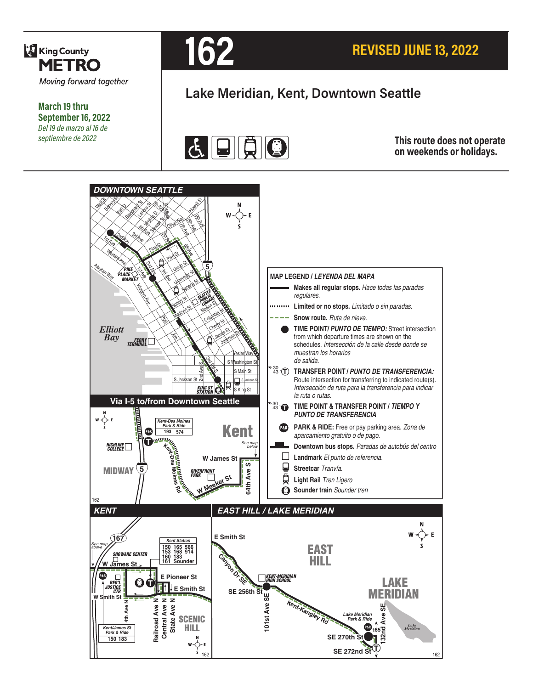

**March 19 thru September 16, 2022** *Del 19 de marzo al 16 de septiembre de 2022*



# **Lake Meridian, Kent, Downtown Seattle**



#### **This route does not operate on weekends or holidays.**